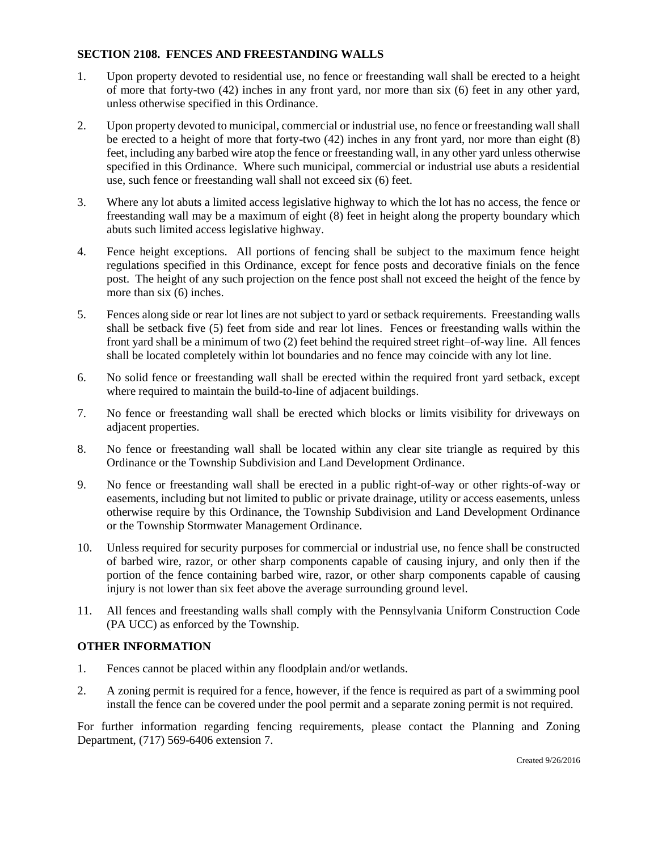## **SECTION 2108. FENCES AND FREESTANDING WALLS**

- 1. Upon property devoted to residential use, no fence or freestanding wall shall be erected to a height of more that forty-two (42) inches in any front yard, nor more than six (6) feet in any other yard, unless otherwise specified in this Ordinance.
- 2. Upon property devoted to municipal, commercial or industrial use, no fence or freestanding wall shall be erected to a height of more that forty-two (42) inches in any front yard, nor more than eight (8) feet, including any barbed wire atop the fence or freestanding wall, in any other yard unless otherwise specified in this Ordinance. Where such municipal, commercial or industrial use abuts a residential use, such fence or freestanding wall shall not exceed six (6) feet.
- 3. Where any lot abuts a limited access legislative highway to which the lot has no access, the fence or freestanding wall may be a maximum of eight (8) feet in height along the property boundary which abuts such limited access legislative highway.
- 4. Fence height exceptions. All portions of fencing shall be subject to the maximum fence height regulations specified in this Ordinance, except for fence posts and decorative finials on the fence post. The height of any such projection on the fence post shall not exceed the height of the fence by more than six  $(6)$  inches.
- 5. Fences along side or rear lot lines are not subject to yard or setback requirements. Freestanding walls shall be setback five (5) feet from side and rear lot lines. Fences or freestanding walls within the front yard shall be a minimum of two (2) feet behind the required street right–of-way line. All fences shall be located completely within lot boundaries and no fence may coincide with any lot line.
- 6. No solid fence or freestanding wall shall be erected within the required front yard setback, except where required to maintain the build-to-line of adjacent buildings.
- 7. No fence or freestanding wall shall be erected which blocks or limits visibility for driveways on adjacent properties.
- 8. No fence or freestanding wall shall be located within any clear site triangle as required by this Ordinance or the Township Subdivision and Land Development Ordinance.
- 9. No fence or freestanding wall shall be erected in a public right-of-way or other rights-of-way or easements, including but not limited to public or private drainage, utility or access easements, unless otherwise require by this Ordinance, the Township Subdivision and Land Development Ordinance or the Township Stormwater Management Ordinance.
- 10. Unless required for security purposes for commercial or industrial use, no fence shall be constructed of barbed wire, razor, or other sharp components capable of causing injury, and only then if the portion of the fence containing barbed wire, razor, or other sharp components capable of causing injury is not lower than six feet above the average surrounding ground level.
- 11. All fences and freestanding walls shall comply with the Pennsylvania Uniform Construction Code (PA UCC) as enforced by the Township.

## **OTHER INFORMATION**

- 1. Fences cannot be placed within any floodplain and/or wetlands.
- 2. A zoning permit is required for a fence, however, if the fence is required as part of a swimming pool install the fence can be covered under the pool permit and a separate zoning permit is not required.

For further information regarding fencing requirements, please contact the Planning and Zoning Department, (717) 569-6406 extension 7.